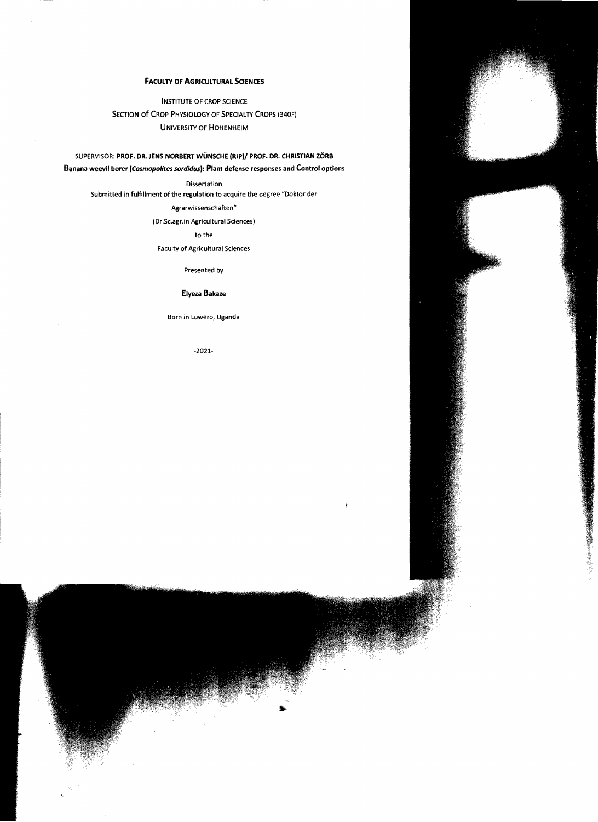# FACULTY OF AGRICULTURAL SCIENCES

INSTITUTE OF CROP SCIENCE SECTION OF CROP PHYSIOLOGY OF SPECIALTY CROPS (340F) UNIVERSITY OF HOHENHEIM

# SUPERVISOR: PROF. DR. JENS NORBERT WÜNSCHE (RIP)/ PROF. DR. CHRISTIAN ZÖRB Banana weevil borer *(Cosmopolites sordidusl:* Plant defense responses and Contral options

**Dissertation** 

Submitted in fulfillment of the regulation to acquire the degree "Doktor der

Agrarwissenschaften"

(Dr.Sc.agr.in Agricultural Sciences)

## to the

Faculty of Agricultural Sciences

Presented by

### Elyeza Bakaze

Born in Luwero, Uganda

-2021

ì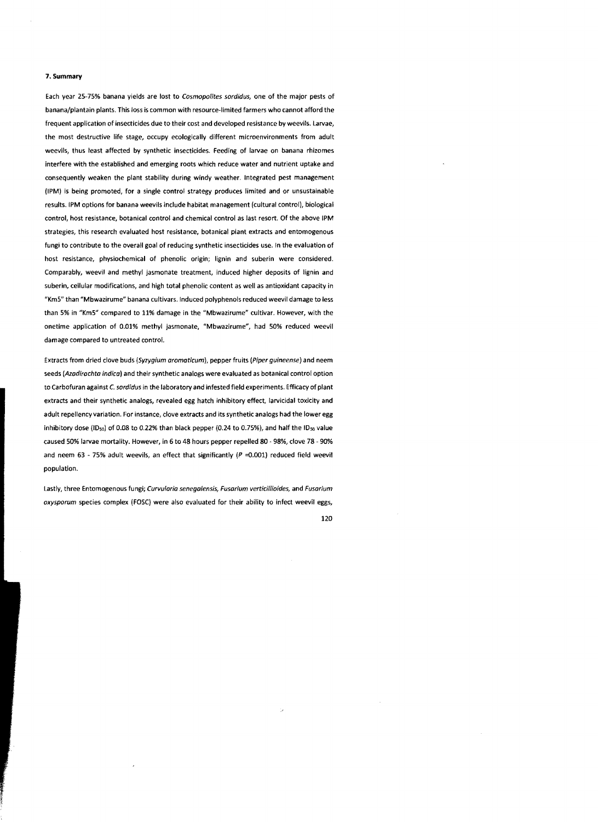#### 7. Summary

Each year 25-75% banana yields are lost to Cosmopolites sordidus, one of the major pests of banana/plantain plants. This 1055 is common with resource·limited farmers who cannot afford the frequent application of insecticides due to their cost and developed resistance by weevils. Larvae, the most destructive life stage, occupy ecologically different microenvironments from adult weevils, thus least affected by synthetic insecticides. feeding of larvae on banana rhizomes interfere with the established and emerging roots which reduce water and nutrient uptake and consequently weaken the plant stability during windy weather. Integrated pest management (lPMJ is being promoted, for a single control strategy produces limited and or unsustainable results. IPM options for banana weevils include habitat management (cultural control), biological control, host resistance, botanical control and chemical control as last resort. Of the above IPM strategies, this research evaluated host resistance. botanical plant extracts and entomogenous fungi to contribute to the overall goal of reducing synthetic insecticides use. In the evaluation of host resistance, physiochemical of phenolic origin; lignin and suberin were considered. Comparably, weevil and methyl jasmonate treatment. induced higher deposits of lignin and suberin. cellular modifications, and high total phenolic content as weil as antioxidant capacity in "Km5" than "Mbwazirume" banana cultivars. Induced polyphenols reduced weevil damage to less than 5% in "Km5" compared to 11% damage in the "Mbwazirume" cultivar. However, with the onetime application of 0.01% methyl jasmonate, "Mbwazirume". had 50% reduced weevil damage compared to untreated contro!.

Extracts from dried clove buds (Syzygium aromaticum), pepper fruits (Piper guineense) and neem seeds (Azadirachta indica) and their synthetic analogs were evaluated as botanical control option to Carbofuran against C. sordidus in the laboratory and infested fjeld experiments. Efficacy of plant extracts and their synthetic analogs. revealed egg hatch inhibitory effect, larvicidal toxicity and adult repellency variation. For instance, clove extracts and its synthetic analogs had the lower egg inhibitory dose (ID<sub>50</sub>) of 0.08 to 0.22% than black pepper (0.24 to 0.75%), and half the ID<sub>50</sub> value caused 50% larvae mortality. However, in 6 to 48 hours pepper repelled 80 - 98%, clove 78 - 90% and neem 63 - 75% adult weevils, an effect that significantly ( $P = 0.001$ ) reduced field weevil population.

Lastly, three Entomogenous fungi; Curvularia senegalensis, Fusarium verticillioides, and Fusarium  $oxysporum species complex (FOSC) were also evaluated for their ability to infect weevit eggs,$ 

120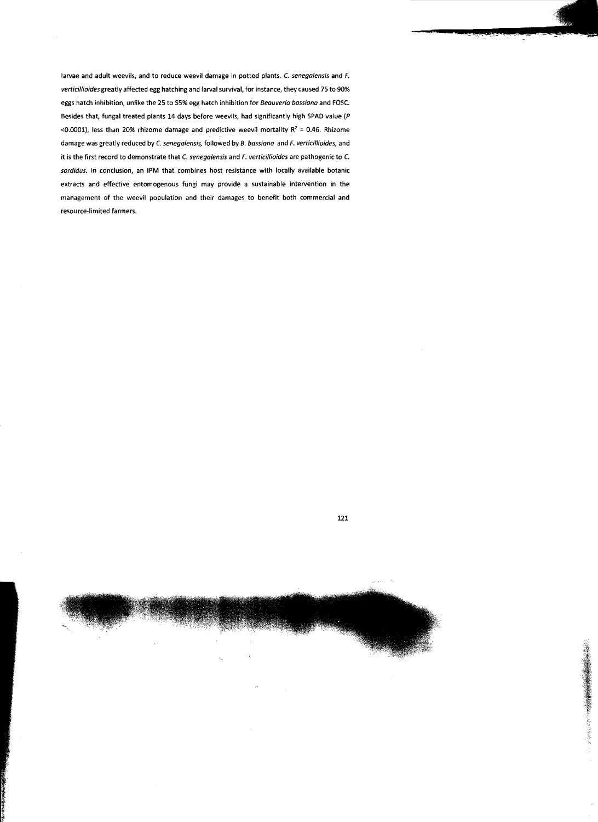larvae and adult weevils, and to reduce weevil damage in potted plants.  $C$  senegalensis and  $F$ . verticillioides greatly affected egg hatching and larval survival, for instance, they caused 75 to 90% eggs hatch inhibition, unlike the 25 to 55% egg hatch inhibition for Beauveria bassiana and F05C. Besides that, fungal treated plants 14 days before weevils, had significantly high SPAD value ( $P$ <0.0001), less than 20% rhizome damage and predictive weevil mortality  $R^2 = 0.46$ . Rhizome damage was greatly reduced by C. senegalensis, followed by B. bassiana and F. verticillioides, and it is the first record to demonstrate that C. senegalensis and F. verticillioides are pathogenic to C. sordidus. In conclusion, an IPM that combines host resistance with locally available botanic extracts and effective entomogenous fungi may provide a sustainable intervention in the management of the weevil population and their damages to benefit both commercial and resource-limited farmers.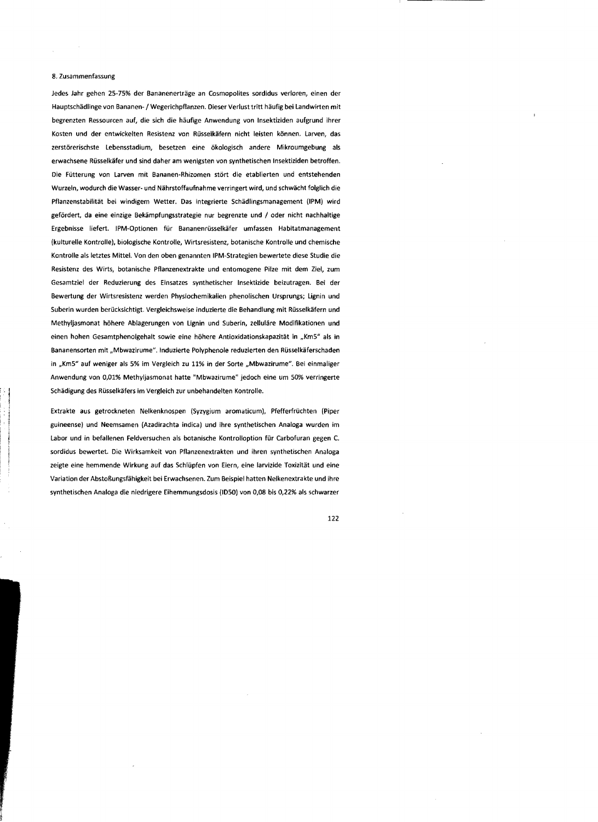#### 8. Zusammenfassung

Jedes Jahr gehen 25-75% der Bananenerträge an Cosmopolites sordidus verloren, einen der Hauptschädlinge von Bananen- / Wegerichpflanzen. Dieser Verlust tritt häufig bei Landwirten mit begrenzten Ressourcen auf, die sich die häufige Anwendung von Insektiziden aufgrund ihrer Kosten und der entwickelten Resistenz von Rüsselkäfern nicht leisten können. Larven, das zerstörerischste Lebensstadium, besetzen eine ökologisch andere Mikroumgebung als erwachsene Rüsselkäfer und sind daher am wenigsten \/on synthetischen Insektiziden betroffen. Die Fütterung von Larven mit Bananen-Rhizomen stört die etablierten und entstehenden Wurzeln, wodurch die Wasser- und Nährstoffaufnahme verringert wird, und schwächt folglich die Pflanzenstabilität bei windigem Wetter. Das integrierte Schädlingsmanagement (IPM) wird gefördert, da eine einzige Bekämpfungsstrategie nur begrenzte und / oder nicht nachhaltige Ergebnisse liefert. IPM-Optionen für Bananenrüsselkäfer umfassen Habitatmanagement (kulturelle Kontrolle), biologische Kontrolle, Wirtsresistenz, botanische Kontrolle und chemische Kontrolle als letztes Mittel. Von den oben genannten IPM-Strategien bewertete diese Studie die Resistenz des Wirts, botanische Pflanzenextrakte und entomogene Pilze mit dem Ziel, zum Gesamtziel der Reduzierung des Einsatzes synthetischer Insektizide beizutragen. Bei der Bewertung der Wirtsresistenz werden Physiochemikalien phenolischen Ursprungs; Lignin und Suberin wurden berücksichtigt. Vergleichsweise induzierte die Behandlung mit Rüsselkäfern und Methyljasmonat höhere Ablagerungen von Lignin und Suberin, zelluläre Modifikationen und einen hohen Gesamtphenolgehalt sowie eine höhere Antioxidationskapazität in "Km5" als in Bananensorten mit "Mbwazirume". Induzierte Polyphenole reduzierten den Rüsselkäferschaden in "Km5" auf weniger als 5% im Vergleich zu 11% in der Sorte "Mbwazirume". Bei einmaliger Anwendung von 0,01% Methyljasmonat hatte "Mbwazirume" jedoch eine um 50% verringerte Schädigung des Rüsselkäfers im Vergleich zur unbehandelten Kontrolle.

Extrakte aus getrockneten Nelkenknospen (Syzygium aromaticum), pfefferfrüchten (Piper guineense) und Neemsamen (Azadirachta indica) und ihre synthetischen Analoga wurden im Labor und in befallenen Feldversuchen als botanische Kontrolloption für Carbofuran gegen C. sordidus bewertet. Die Wirksamkeit von Pflanzenextrakten und ihren synthetischen Analoga zeigte eine hemmende Wirkung auf das Schlüpfen von Eiern, eine larvizide Toxizität und eine Variation der Abstoßungsfähigkeit bei Erwachsenen. Zum Beispiel hatten Nelkenextrakte und ihre synthetischen Analoga die niedrigere Eihemmungsdosis (1050) von 0,08 bis 0,22% als schwarzer